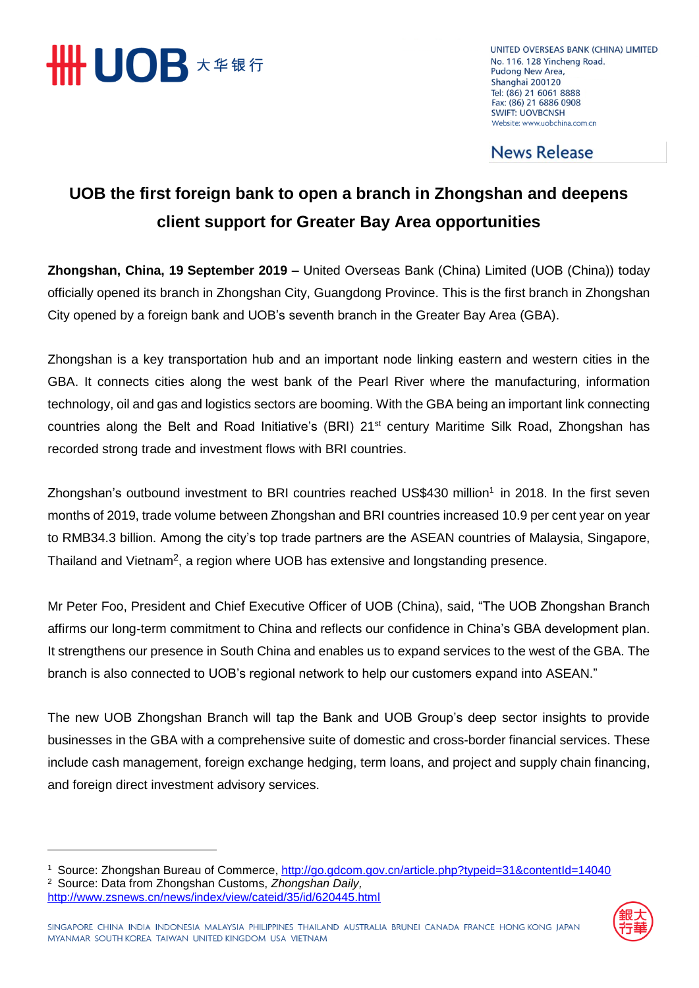

 $\overline{a}$ 

UNITED OVERSEAS BANK (CHINA) LIMITED No. 116, 128 Yincheng Road, Pudong New Area, Shanghai 200120 Tel: (86) 21 6061 8888 Fax: (86) 21 6886 0908 **SWIFT: UOVBCNSH** Website: www.uobchina.com.cn

## **News Release**

## **UOB the first foreign bank to open a branch in Zhongshan and deepens client support for Greater Bay Area opportunities**

**Zhongshan, China, 19 September 2019 –** United Overseas Bank (China) Limited (UOB (China)) today officially opened its branch in Zhongshan City, Guangdong Province. This is the first branch in Zhongshan City opened by a foreign bank and UOB's seventh branch in the Greater Bay Area (GBA).

Zhongshan is a key transportation hub and an important node linking eastern and western cities in the GBA. It connects cities along the west bank of the Pearl River where the manufacturing, information technology, oil and gas and logistics sectors are booming. With the GBA being an important link connecting countries along the Belt and Road Initiative's (BRI) 21<sup>st</sup> century Maritime Silk Road, Zhongshan has recorded strong trade and investment flows with BRI countries.

Zhongshan's outbound investment to BRI countries reached US\$430 million<sup>1</sup> in 2018. In the first seven months of 2019, trade volume between Zhongshan and BRI countries increased 10.9 per cent year on year to RMB34.3 billion. Among the city's top trade partners are the ASEAN countries of Malaysia, Singapore, Thailand and Vietnam<sup>2</sup>, a region where UOB has extensive and longstanding presence.

Mr Peter Foo, President and Chief Executive Officer of UOB (China), said, "The UOB Zhongshan Branch affirms our long-term commitment to China and reflects our confidence in China's GBA development plan. It strengthens our presence in South China and enables us to expand services to the west of the GBA. The branch is also connected to UOB's regional network to help our customers expand into ASEAN."

The new UOB Zhongshan Branch will tap the Bank and UOB Group's deep sector insights to provide businesses in the GBA with a comprehensive suite of domestic and cross-border financial services. These include cash management, foreign exchange hedging, term loans, and project and supply chain financing, and foreign direct investment advisory services.

<sup>1</sup> Source: Zhongshan Bureau of Commerce,<http://go.gdcom.gov.cn/article.php?typeid=31&contentId=14040> <sup>2</sup> Source: Data from Zhongshan Customs, *Zhongshan Daily,*  <http://www.zsnews.cn/news/index/view/cateid/35/id/620445.html>

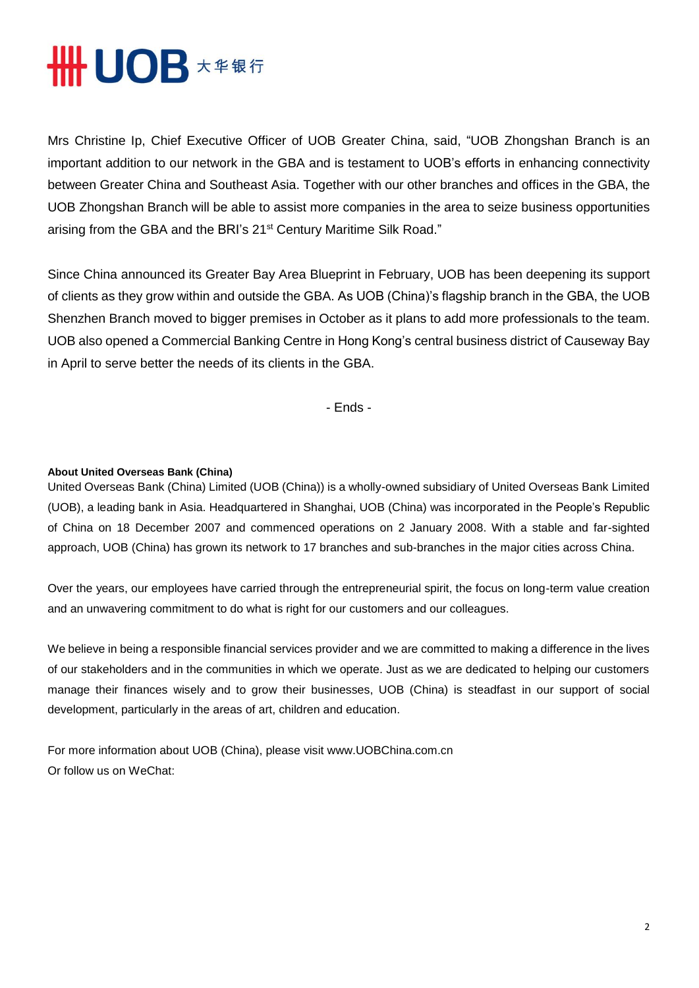## **THE UOB \*\*\*\***

Mrs Christine Ip, Chief Executive Officer of UOB Greater China, said, "UOB Zhongshan Branch is an important addition to our network in the GBA and is testament to UOB's efforts in enhancing connectivity between Greater China and Southeast Asia. Together with our other branches and offices in the GBA, the UOB Zhongshan Branch will be able to assist more companies in the area to seize business opportunities arising from the GBA and the BRI's 21<sup>st</sup> Century Maritime Silk Road."

Since China announced its Greater Bay Area Blueprint in February, UOB has been deepening its support of clients as they grow within and outside the GBA. As UOB (China)'s flagship branch in the GBA, the UOB Shenzhen Branch moved to bigger premises in October as it plans to add more professionals to the team. UOB also opened a Commercial Banking Centre in Hong Kong's central business district of Causeway Bay in April to serve better the needs of its clients in the GBA.

- Ends -

## **About United Overseas Bank (China)**

United Overseas Bank (China) Limited (UOB (China)) is a wholly-owned subsidiary of United Overseas Bank Limited (UOB), a leading bank in Asia. Headquartered in Shanghai, UOB (China) was incorporated in the People's Republic of China on 18 December 2007 and commenced operations on 2 January 2008. With a stable and far-sighted approach, UOB (China) has grown its network to 17 branches and sub-branches in the major cities across China.

Over the years, our employees have carried through the entrepreneurial spirit, the focus on long-term value creation and an unwavering commitment to do what is right for our customers and our colleagues.

We believe in being a responsible financial services provider and we are committed to making a difference in the lives of our stakeholders and in the communities in which we operate. Just as we are dedicated to helping our customers manage their finances wisely and to grow their businesses, UOB (China) is steadfast in our support of social development, particularly in the areas of art, children and education.

For more information about UOB (China), please visit www.UOBChina.com.cn Or follow us on WeChat: